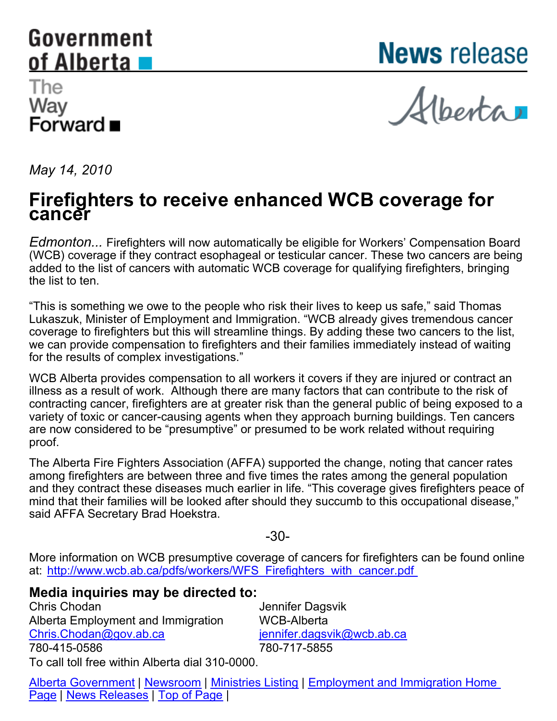## <span id="page-0-0"></span>Government of Alberta

**News** release

## The Way Forward ■

Alberta

*May 14, 2010*

## **Firefighters to receive enhanced WCB coverage for cancer**

*Edmonton...* Firefighters will now automatically be eligible for Workers' Compensation Board (WCB) coverage if they contract esophageal or testicular cancer. These two cancers are being added to the list of cancers with automatic WCB coverage for qualifying firefighters, bringing the list to ten.

"This is something we owe to the people who risk their lives to keep us safe," said Thomas Lukaszuk, Minister of Employment and Immigration. "WCB already gives tremendous cancer coverage to firefighters but this will streamline things. By adding these two cancers to the list, we can provide compensation to firefighters and their families immediately instead of waiting for the results of complex investigations."

WCB Alberta provides compensation to all workers it covers if they are injured or contract an illness as a result of work. Although there are many factors that can contribute to the risk of contracting cancer, firefighters are at greater risk than the general public of being exposed to a variety of toxic or cancer-causing agents when they approach burning buildings. Ten cancers are now considered to be "presumptive" or presumed to be work related without requiring proof.

The Alberta Fire Fighters Association (AFFA) supported the change, noting that cancer rates among firefighters are between three and five times the rates among the general population and they contract these diseases much earlier in life. "This coverage gives firefighters peace of mind that their families will be looked after should they succumb to this occupational disease," said AFFA Secretary Brad Hoekstra.

-30-

More information on WCB presumptive coverage of cancers for firefighters can be found online at: http://www.wcb.ab.ca/pdfs/workers/WFS\_Firefighters\_with\_cancer.pdf

## **Media inquiries may be directed to:**

Chris Chodan Alberta Employment and Immigration [Chris.Chodan@gov.ab.ca](mailto:Chris.Chodan@gov.ab.ca) 780-415-0586

Jennifer Dagsvik WCB-Alberta [jennifer.dagsvik@wcb.ab.ca](mailto:jennifer.dagsvik@wcb.ab.ca) 780-717-5855

To call toll free within Alberta dial 310-0000.

[Alberta Government](HTTP://Alberta.ca) | [Newsroom](HTTP://Alberta.ca/home/news.cfm) | [Ministries Listing](HTTP://www.Alberta.ca/home/ministries.cfm) | [Employment and Immigration Home](http://employment.alberta.ca/cps/rde/xchg/hre/hs.xsl/563.html) [Page](http://employment.alberta.ca/cps/rde/xchg/hre/hs.xsl/563.html) | [News Releases](HTTP://Alberta.ca/home/news.cfm) | [Top of Page](#page-0-0) |